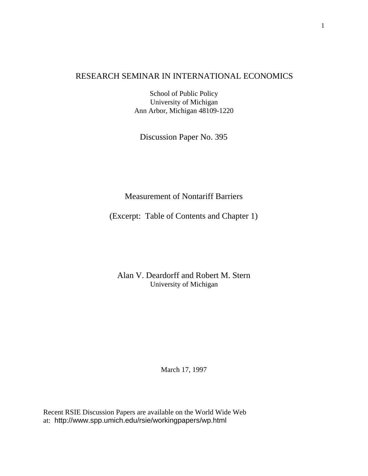## RESEARCH SEMINAR IN INTERNATIONAL ECONOMICS

School of Public Policy University of Michigan Ann Arbor, Michigan 48109-1220

Discussion Paper No. 395

Measurement of Nontariff Barriers

(Excerpt: Table of Contents and Chapter 1)

Alan V. Deardorff and Robert M. Stern University of Michigan

March 17, 1997

Recent RSIE Discussion Papers are available on the World Wide Web at: http://www.spp.umich.edu/rsie/workingpapers/wp.html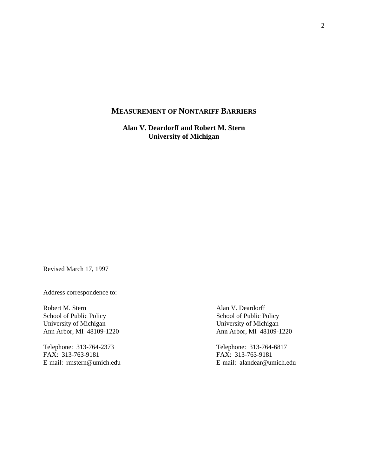# **MEASUREMENT OF NONTARIFF BARRIERS**

**Alan V. Deardorff and Robert M. Stern University of Michigan**

Revised March 17, 1997

Address correspondence to:

Robert M. Stern Alan V. Deardorff<br>
School of Public Policy<br>
School of Public Policy School of Public Policy<br>
University of Michigan<br>
University of Michigan<br>
University of Michigan University of Michigan<br>Ann Arbor, MI 48109-1220

Telephone: 313-764-2373 Telephone: 313-764-6817 FAX: 313-763-9181<br>
E-mail: rmstern@umich.edu<br>
E-mail: alandear@ur

Ann Arbor, MI 48109-1220

E-mail: alandear@umich.edu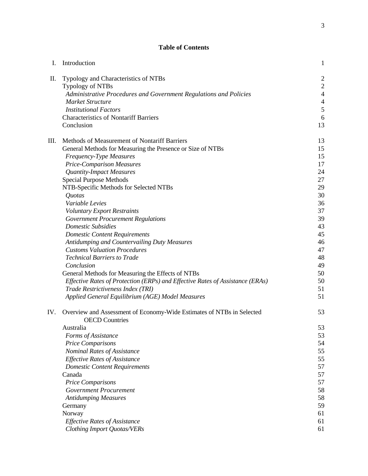### **Table of Contents**

| Ι.   | Introduction                                                                                                                                                                                                                                                                                                                                                                                                                                                                                                                                                                                                                                                                                                                                                                                                                                            | $\mathbf{1}$                                                                                                               |
|------|---------------------------------------------------------------------------------------------------------------------------------------------------------------------------------------------------------------------------------------------------------------------------------------------------------------------------------------------------------------------------------------------------------------------------------------------------------------------------------------------------------------------------------------------------------------------------------------------------------------------------------------------------------------------------------------------------------------------------------------------------------------------------------------------------------------------------------------------------------|----------------------------------------------------------------------------------------------------------------------------|
| П.   | Typology and Characteristics of NTBs<br>Typology of NTBs<br>Administrative Procedures and Government Regulations and Policies<br>Market Structure<br><b>Institutional Factors</b><br><b>Characteristics of Nontariff Barriers</b><br>Conclusion                                                                                                                                                                                                                                                                                                                                                                                                                                                                                                                                                                                                         | $\overline{c}$<br>$\overline{c}$<br>$\overline{4}$<br>$\overline{4}$<br>5<br>6<br>13                                       |
| III. | Methods of Measurement of Nontariff Barriers<br>General Methods for Measuring the Presence or Size of NTBs<br>Frequency-Type Measures<br><b>Price-Comparison Measures</b><br>Quantity-Impact Measures<br><b>Special Purpose Methods</b><br>NTB-Specific Methods for Selected NTBs<br>Quotas<br>Variable Levies<br><b>Voluntary Export Restraints</b><br><b>Government Procurement Regulations</b><br><b>Domestic Subsidies</b><br><b>Domestic Content Requirements</b><br><b>Antidumping and Countervailing Duty Measures</b><br><b>Customs Valuation Procedures</b><br><b>Technical Barriers to Trade</b><br>Conclusion<br>General Methods for Measuring the Effects of NTBs<br>Effective Rates of Protection (ERPs) and Effective Rates of Assistance (ERAs)<br>Trade Restrictiveness Index (TRI)<br>Applied General Equilibrium (AGE) Model Measures | 13<br>15<br>15<br>17<br>24<br>27<br>29<br>30<br>36<br>37<br>39<br>43<br>45<br>46<br>47<br>48<br>49<br>50<br>50<br>51<br>51 |
| IV.  | Overview and Assessment of Economy-Wide Estimates of NTBs in Selected<br><b>OECD</b> Countries<br>Australia<br>Forms of Assistance<br><b>Price Comparisons</b><br>Nominal Rates of Assistance<br><b>Effective Rates of Assistance</b><br><b>Domestic Content Requirements</b><br>Canada<br><b>Price Comparisons</b><br><b>Government Procurement</b><br><b>Antidumping Measures</b><br>Germany<br>Norway<br><b>Effective Rates of Assistance</b><br>Clothing Import Quotas/VERs                                                                                                                                                                                                                                                                                                                                                                         | 53<br>53<br>53<br>54<br>55<br>55<br>57<br>57<br>57<br>58<br>58<br>59<br>61<br>61<br>61                                     |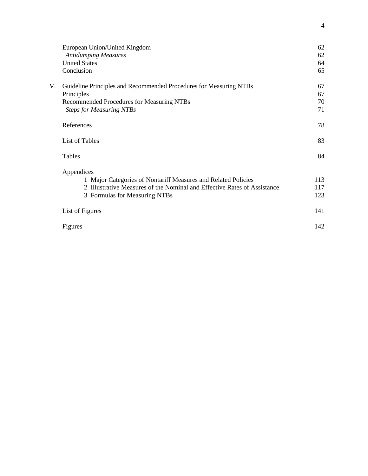|    | European Union/United Kingdom                                            | 62<br>62 |
|----|--------------------------------------------------------------------------|----------|
|    | <b>Antidumping Measures</b><br><b>United States</b>                      | 64       |
|    | Conclusion                                                               | 65       |
|    |                                                                          |          |
| V. | Guideline Principles and Recommended Procedures for Measuring NTBs       | 67       |
|    | Principles                                                               | 67       |
|    | Recommended Procedures for Measuring NTBs                                | 70       |
|    | <b>Steps for Measuring NTBs</b>                                          | 71       |
|    |                                                                          |          |
|    | References                                                               | 78       |
|    | List of Tables                                                           | 83       |
|    | Tables                                                                   | 84       |
|    |                                                                          |          |
|    | Appendices                                                               |          |
|    | 1 Major Categories of Nontariff Measures and Related Policies            | 113      |
|    | 2 Illustrative Measures of the Nominal and Effective Rates of Assistance | 117      |
|    | 3 Formulas for Measuring NTBs                                            | 123      |
|    | List of Figures                                                          | 141      |
|    | Figures                                                                  | 142      |
|    |                                                                          |          |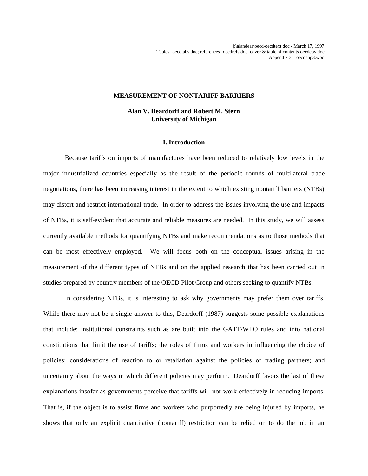#### **MEASUREMENT OF NONTARIFF BARRIERS**

#### **Alan V. Deardorff and Robert M. Stern University of Michigan**

#### **I. Introduction**

Because tariffs on imports of manufactures have been reduced to relatively low levels in the major industrialized countries especially as the result of the periodic rounds of multilateral trade negotiations, there has been increasing interest in the extent to which existing nontariff barriers (NTBs) may distort and restrict international trade. In order to address the issues involving the use and impacts of NTBs, it is self-evident that accurate and reliable measures are needed. In this study, we will assess currently available methods for quantifying NTBs and make recommendations as to those methods that can be most effectively employed. We will focus both on the conceptual issues arising in the measurement of the different types of NTBs and on the applied research that has been carried out in studies prepared by country members of the OECD Pilot Group and others seeking to quantify NTBs.

In considering NTBs, it is interesting to ask why governments may prefer them over tariffs. While there may not be a single answer to this, Deardorff (1987) suggests some possible explanations that include: institutional constraints such as are built into the GATT/WTO rules and into national constitutions that limit the use of tariffs; the roles of firms and workers in influencing the choice of policies; considerations of reaction to or retaliation against the policies of trading partners; and uncertainty about the ways in which different policies may perform. Deardorff favors the last of these explanations insofar as governments perceive that tariffs will not work effectively in reducing imports. That is, if the object is to assist firms and workers who purportedly are being injured by imports, he shows that only an explicit quantitative (nontariff) restriction can be relied on to do the job in an